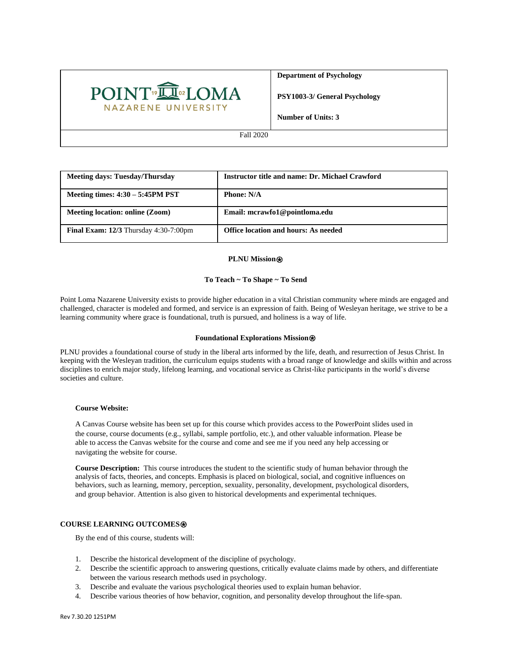

**Department of Psychology**

**PSY1003-3/ General Psychology**

**Number of Units: 3**

Fall 2020

| <b>Meeting days: Tuesday/Thursday</b>                  | <b>Instructor title and name: Dr. Michael Crawford</b> |
|--------------------------------------------------------|--------------------------------------------------------|
| Meeting times: $4:30 - 5:45PM$ PST                     | <b>Phone: N/A</b>                                      |
| Meeting location: online (Zoom)                        | Email: mcrawfo1@pointloma.edu                          |
| <b>Final Exam: 12/3</b> Thursday $4:30-7:00 \text{pm}$ | <b>Office location and hours: As needed</b>            |

### **PLNU Mission**⍟

## **To Teach ~ To Shape ~ To Send**

Point Loma Nazarene University exists to provide higher education in a vital Christian community where minds are engaged and challenged, character is modeled and formed, and service is an expression of faith. Being of Wesleyan heritage, we strive to be a learning community where grace is foundational, truth is pursued, and holiness is a way of life.

## **Foundational Explorations Mission**<sup>*⊗***</sup>**

PLNU provides a foundational course of study in the liberal arts informed by the life, death, and resurrection of Jesus Christ. In keeping with the Wesleyan tradition, the curriculum equips students with a broad range of knowledge and skills within and across disciplines to enrich major study, lifelong learning, and vocational service as Christ-like participants in the world's diverse societies and culture.

#### **Course Website:**

A Canvas Course website has been set up for this course which provides access to the PowerPoint slides used in the course, course documents (e.g., syllabi, sample portfolio, etc.), and other valuable information. Please be able to access the Canvas website for the course and come and see me if you need any help accessing or navigating the website for course.

**Course Description:** This course introduces the student to the scientific study of human behavior through the analysis of facts, theories, and concepts. Emphasis is placed on biological, social, and cognitive influences on behaviors, such as learning, memory, perception, sexuality, personality, development, psychological disorders, and group behavior. Attention is also given to historical developments and experimental techniques.

## **COURSE LEARNING OUTCOMES**⍟

By the end of this course, students will:

- 1. Describe the historical development of the discipline of psychology.
- 2. Describe the scientific approach to answering questions, critically evaluate claims made by others, and differentiate between the various research methods used in psychology.
- 3. Describe and evaluate the various psychological theories used to explain human behavior.
- 4. Describe various theories of how behavior, cognition, and personality develop throughout the life-span.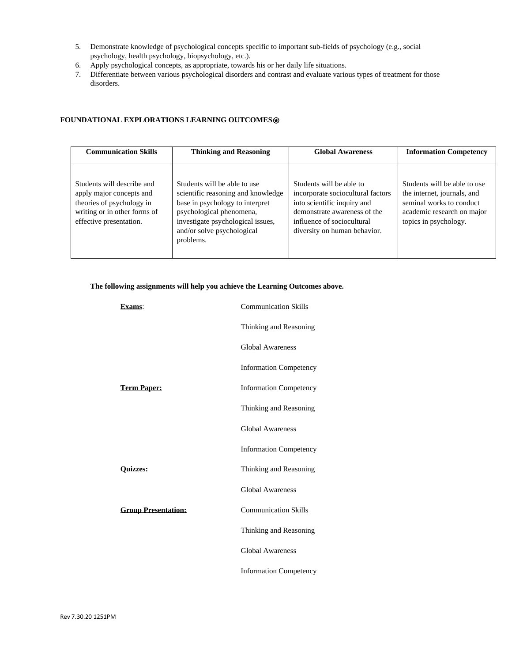- 5. Demonstrate knowledge of psychological concepts specific to important sub-fields of psychology (e.g., social psychology, health psychology, biopsychology, etc.).
- 6. Apply psychological concepts, as appropriate, towards his or her daily life situations.
- 7. Differentiate between various psychological disorders and contrast and evaluate various types of treatment for those disorders.

# **FOUNDATIONAL EXPLORATIONS LEARNING OUTCOMES**⍟

| <b>Communication Skills</b>                                                                                                                    | <b>Thinking and Reasoning</b>                                                                                                                                                                                     |                                                                                                                                                                                            | <b>Information Competency</b>                                                                                                                  |
|------------------------------------------------------------------------------------------------------------------------------------------------|-------------------------------------------------------------------------------------------------------------------------------------------------------------------------------------------------------------------|--------------------------------------------------------------------------------------------------------------------------------------------------------------------------------------------|------------------------------------------------------------------------------------------------------------------------------------------------|
| Students will describe and<br>apply major concepts and<br>theories of psychology in<br>writing or in other forms of<br>effective presentation. | Students will be able to use<br>scientific reasoning and knowledge<br>base in psychology to interpret<br>psychological phenomena,<br>investigate psychological issues,<br>and/or solve psychological<br>problems. | Students will be able to<br>incorporate sociocultural factors<br>into scientific inquiry and<br>demonstrate awareness of the<br>influence of sociocultural<br>diversity on human behavior. | Students will be able to use<br>the internet, journals, and<br>seminal works to conduct<br>academic research on major<br>topics in psychology. |

# **The following assignments will help you achieve the Learning Outcomes above.**

| Exams:                     | <b>Communication Skills</b>   |
|----------------------------|-------------------------------|
|                            | Thinking and Reasoning        |
|                            | <b>Global Awareness</b>       |
|                            | <b>Information Competency</b> |
| <b>Term Paper:</b>         | <b>Information Competency</b> |
|                            | Thinking and Reasoning        |
|                            | <b>Global Awareness</b>       |
|                            | <b>Information Competency</b> |
| <b>Ouizzes:</b>            | Thinking and Reasoning        |
|                            | <b>Global Awareness</b>       |
| <b>Group Presentation:</b> | <b>Communication Skills</b>   |
|                            | Thinking and Reasoning        |
|                            | <b>Global Awareness</b>       |
|                            | <b>Information Competency</b> |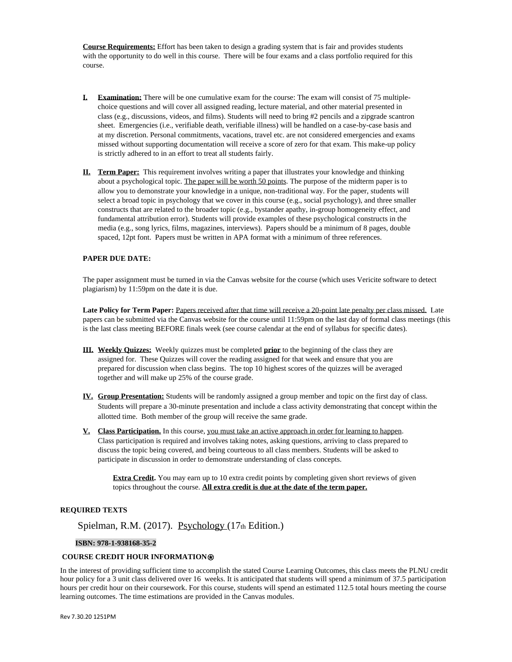**Course Requirements:** Effort has been taken to design a grading system that is fair and provides students with the opportunity to do well in this course. There will be four exams and a class portfolio required for this course.

- **I. Examination:** There will be one cumulative exam for the course: The exam will consist of 75 multiplechoice questions and will cover all assigned reading, lecture material, and other material presented in class (e.g., discussions, videos, and films). Students will need to bring #2 pencils and a zipgrade scantron sheet. Emergencies (i.e., verifiable death, verifiable illness) will be handled on a case-by-case basis and at my discretion. Personal commitments, vacations, travel etc. are not considered emergencies and exams missed without supporting documentation will receive a score of zero for that exam. This make-up policy is strictly adhered to in an effort to treat all students fairly.
- **II. Term Paper:** This requirement involves writing a paper that illustrates your knowledge and thinking about a psychological topic. The paper will be worth 50 points. The purpose of the midterm paper is to allow you to demonstrate your knowledge in a unique, non-traditional way. For the paper, students will select a broad topic in psychology that we cover in this course (e.g., social psychology), and three smaller constructs that are related to the broader topic (e.g., bystander apathy, in-group homogeneity effect, and fundamental attribution error). Students will provide examples of these psychological constructs in the media (e.g., song lyrics, films, magazines, interviews). Papers should be a minimum of 8 pages, double spaced, 12pt font. Papers must be written in APA format with a minimum of three references.

#### **PAPER DUE DATE:**

The paper assignment must be turned in via the Canvas website for the course (which uses Vericite software to detect plagiarism) by 11:59pm on the date it is due.

**Late Policy for Term Paper:** Papers received after that time will receive a 20-point late penalty per class missed.Late papers can be submitted via the Canvas website for the course until 11:59pm on the last day of formal class meetings (this is the last class meeting BEFORE finals week (see course calendar at the end of syllabus for specific dates).

- **III. Weekly Quizzes:** Weekly quizzes must be completed **prior** to the beginning of the class they are assigned for. These Quizzes will cover the reading assigned for that week and ensure that you are prepared for discussion when class begins. The top 10 highest scores of the quizzes will be averaged together and will make up 25% of the course grade.
- **IV. Group Presentation:** Students will be randomly assigned a group member and topic on the first day of class. Students will prepare a 30-minute presentation and include a class activity demonstrating that concept within the allotted time. Both member of the group will receive the same grade.
- **V. Class Participation.** In this course, you must take an active approach in order for learning to happen. Class participation is required and involves taking notes, asking questions, arriving to class prepared to discuss the topic being covered, and being courteous to all class members. Students will be asked to participate in discussion in order to demonstrate understanding of class concepts.

**Extra Credit.** You may earn up to 10 extra credit points by completing given short reviews of given topics throughout the course. **All extra credit is due at the date of the term paper.** 

## **REQUIRED TEXTS**

Spielman, R.M. (2017). Psychology (17th Edition.)

#### **ISBN: 978-1-938168-35-2**

## **COURSE CREDIT HOUR INFORMATION**⍟

In the interest of providing sufficient time to accomplish the stated Course Learning Outcomes, this class meets the PLNU credit hour policy for a 3 unit class delivered over 16 weeks. It is anticipated that students will spend a minimum of 37.5 participation hours per credit hour on their coursework. For this course, students will spend an estimated 112.5 total hours meeting the course learning outcomes. The time estimations are provided in the Canvas modules.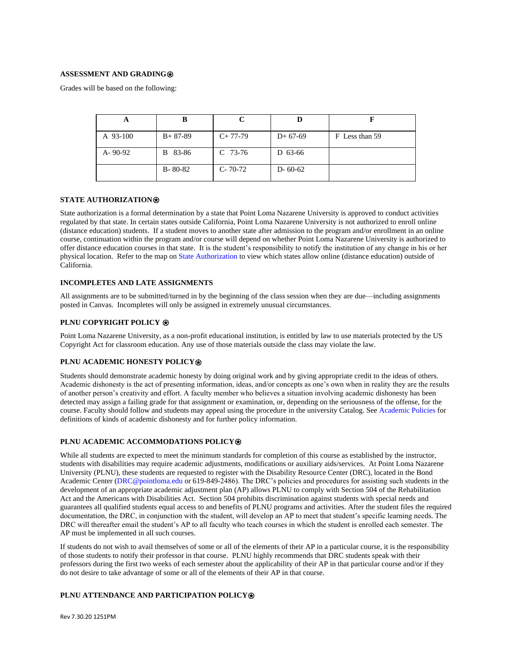## **ASSESSMENT AND GRADING**⍟

Grades will be based on the following:

| A             |               |               |               |                |
|---------------|---------------|---------------|---------------|----------------|
| A 93-100      | $B+87-89$     | $C+77-79$     | $D+67-69$     | F Less than 59 |
| $A - 90 - 92$ | B 83-86       | $C$ 73-76     | D 63-66       |                |
|               | $B - 80 - 82$ | $C - 70 - 72$ | $D - 60 - 62$ |                |

#### **STATE AUTHORIZATION**⍟

State authorization is a formal determination by a state that Point Loma Nazarene University is approved to conduct activities regulated by that state. In certain states outside California, Point Loma Nazarene University is not authorized to enroll online (distance education) students. If a student moves to another state after admission to the program and/or enrollment in an online course, continuation within the program and/or course will depend on whether Point Loma Nazarene University is authorized to offer distance education courses in that state. It is the student's responsibility to notify the institution of any change in his or her physical location. Refer to the map o[n State Authorization](https://www.pointloma.edu/offices/office-institutional-effectiveness-research/disclosures) to view which states allow online (distance education) outside of California.

#### **INCOMPLETES AND LATE ASSIGNMENTS**

All assignments are to be submitted/turned in by the beginning of the class session when they are due—including assignments posted in Canvas. Incompletes will only be assigned in extremely unusual circumstances.

### **PLNU COPYRIGHT POLICY**  $\circledast$

Point Loma Nazarene University, as a non-profit educational institution, is entitled by law to use materials protected by the US Copyright Act for classroom education. Any use of those materials outside the class may violate the law.

## **PLNU ACADEMIC HONESTY POLICY**⍟

Students should demonstrate academic honesty by doing original work and by giving appropriate credit to the ideas of others. Academic dishonesty is the act of presenting information, ideas, and/or concepts as one's own when in reality they are the results of another person's creativity and effort. A faculty member who believes a situation involving academic dishonesty has been detected may assign a failing grade for that assignment or examination, or, depending on the seriousness of the offense, for the course. Faculty should follow and students may appeal using the procedure in the university Catalog. Se[e Academic Policies](https://catalog.pointloma.edu/content.php?catoid=41&navoid=2435#Academic_Honesty) for definitions of kinds of academic dishonesty and for further policy information.

#### **PLNU ACADEMIC ACCOMMODATIONS POLICY**⍟

While all students are expected to meet the minimum standards for completion of this course as established by the instructor, students with disabilities may require academic adjustments, modifications or auxiliary aids/services. At Point Loma Nazarene University (PLNU), these students are requested to register with the Disability Resource Center (DRC), located in the Bond Academic Center [\(DRC@pointloma.edu](mailto:DRC@pointloma.edu) or 619-849-2486). The DRC's policies and procedures for assisting such students in the development of an appropriate academic adjustment plan (AP) allows PLNU to comply with Section 504 of the Rehabilitation Act and the Americans with Disabilities Act. Section 504 prohibits discrimination against students with special needs and guarantees all qualified students equal access to and benefits of PLNU programs and activities. After the student files the required documentation, the DRC, in conjunction with the student, will develop an AP to meet that student's specific learning needs. The DRC will thereafter email the student's AP to all faculty who teach courses in which the student is enrolled each semester. The AP must be implemented in all such courses.

If students do not wish to avail themselves of some or all of the elements of their AP in a particular course, it is the responsibility of those students to notify their professor in that course. PLNU highly recommends that DRC students speak with their professors during the first two weeks of each semester about the applicability of their AP in that particular course and/or if they do not desire to take advantage of some or all of the elements of their AP in that course.

#### **PLNU ATTENDANCE AND PARTICIPATION POLICY**⍟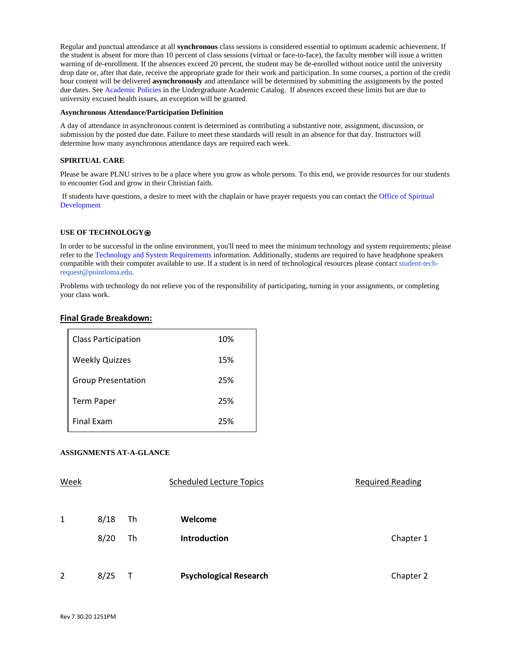Regular and punctual attendance at all **synchronous** class sessions is considered essential to optimum academic achievement. If the student is absent for more than 10 percent of class sessions (virtual or face-to-face), the faculty member will issue a written warning of de-enrollment. If the absences exceed 20 percent, the student may be de-enrolled without notice until the university drop date or, after that date, receive the appropriate grade for their work and participation. In some courses, a portion of the credit hour content will be delivered **asynchronously** and attendance will be determined by submitting the assignments by the posted due dates. Se[e Academic Policies](https://catalog.pointloma.edu/content.php?catoid=46&navoid=2650#Class_Attendance) in the Undergraduate Academic Catalog. If absences exceed these limits but are due to university excused health issues, an exception will be granted.

#### **Asynchronous Attendance/Participation Definition**

A day of attendance in asynchronous content is determined as contributing a substantive note, assignment, discussion, or submission by the posted due date. Failure to meet these standards will result in an absence for that day. Instructors will determine how many asynchronous attendance days are required each week.

## **SPIRITUAL CARE**

Please be aware PLNU strives to be a place where you grow as whole persons. To this end, we provide resources for our students to encounter God and grow in their Christian faith.

If students have questions, a desire to meet with the chaplain or have prayer requests you can contact th[e Office of Spiritual](https://www.pointloma.edu/offices/spiritual-development)  [Development](https://www.pointloma.edu/offices/spiritual-development)

## **USE OF TECHNOLOGY**⍟

In order to be successful in the online environment, you'll need to meet the minimum technology and system requirements; please refer to the [Technology and System Requirements i](https://help.pointloma.edu/TDClient/1808/Portal/KB/ArticleDet?ID=108349)nformation. Additionally, students are required to have headphone speakers compatible with their computer available to use. If a student is in need of technological resources please contac[t student-tech](mailto:student-tech-request@pointloma.edu)[request@pointloma.edu.](mailto:student-tech-request@pointloma.edu)

Problems with technology do not relieve you of the responsibility of participating, turning in your assignments, or completing your class work.

## **Final Grade Breakdown:**

| <b>Class Participation</b> | 10% |
|----------------------------|-----|
| <b>Weekly Quizzes</b>      | 15% |
| <b>Group Presentation</b>  | 25% |
| <b>Term Paper</b>          | 25% |
| <b>Final Exam</b>          | 25% |

## **ASSIGNMENTS AT-A-GLANCE**

| Week         |      |    | <b>Scheduled Lecture Topics</b> | <b>Required Reading</b> |
|--------------|------|----|---------------------------------|-------------------------|
| $\mathbf{1}$ | 8/18 | Th | Welcome                         |                         |
|              | 8/20 | Th | <b>Introduction</b>             | Chapter 1               |
|              |      |    |                                 |                         |
| 2            | 8/25 |    | <b>Psychological Research</b>   | Chapter 2               |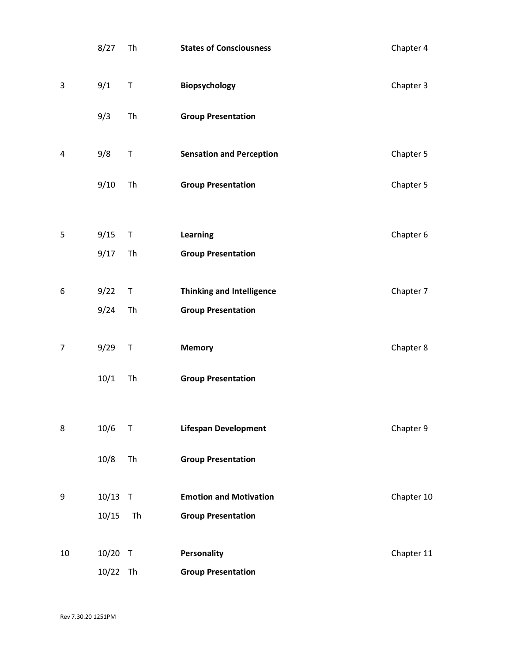|                | 8/27               | Th           | <b>States of Consciousness</b>                             | Chapter 4  |
|----------------|--------------------|--------------|------------------------------------------------------------|------------|
| 3              | 9/1                | $\sf T$      | Biopsychology                                              | Chapter 3  |
|                | 9/3                | Th           | <b>Group Presentation</b>                                  |            |
| 4              | 9/8                | $\sf T$      | <b>Sensation and Perception</b>                            | Chapter 5  |
|                | 9/10               | Th           | <b>Group Presentation</b>                                  | Chapter 5  |
| 5              | 9/15               | $\mathsf T$  | <b>Learning</b>                                            | Chapter 6  |
|                | 9/17               | Th           | <b>Group Presentation</b>                                  |            |
| 6              | 9/22               | $\mathsf T$  | <b>Thinking and Intelligence</b>                           | Chapter 7  |
|                | 9/24               | Th           | <b>Group Presentation</b>                                  |            |
| $\overline{7}$ | 9/29               | $\mathsf{T}$ | <b>Memory</b>                                              | Chapter 8  |
|                | 10/1               | Th           | <b>Group Presentation</b>                                  |            |
| 8              | 10/6               | $\mathsf T$  | <b>Lifespan Development</b>                                | Chapter 9  |
|                | 10/8               | Th           | <b>Group Presentation</b>                                  |            |
|                |                    |              |                                                            |            |
| 9              | $10/13$ T<br>10/15 | Th           | <b>Emotion and Motivation</b><br><b>Group Presentation</b> | Chapter 10 |
|                |                    |              |                                                            |            |
| 10             | 10/20 T            |              | Personality                                                | Chapter 11 |
|                | 10/22 Th           |              | <b>Group Presentation</b>                                  |            |